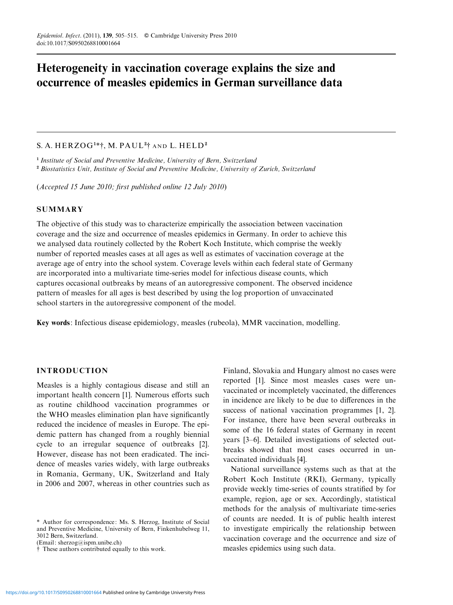# Heterogeneity in vaccination coverage explains the size and occurrence of measles epidemics in German surveillance data

# S. A. HERZOG<sup>1\*†</sup>, M. PAUL<sup>2†</sup>† AND L. HELD<sup>2</sup>

<sup>1</sup> Institute of Social and Preventive Medicine, University of Bern, Switzerland <sup>2</sup> Biostatistics Unit, Institute of Social and Preventive Medicine, University of Zurich, Switzerland

(Accepted 15 June 2010; first published online 12 July 2010)

## **SUMMARY**

The objective of this study was to characterize empirically the association between vaccination coverage and the size and occurrence of measles epidemics in Germany. In order to achieve this we analysed data routinely collected by the Robert Koch Institute, which comprise the weekly number of reported measles cases at all ages as well as estimates of vaccination coverage at the average age of entry into the school system. Coverage levels within each federal state of Germany are incorporated into a multivariate time-series model for infectious disease counts, which captures occasional outbreaks by means of an autoregressive component. The observed incidence pattern of measles for all ages is best described by using the log proportion of unvaccinated school starters in the autoregressive component of the model.

Key words: Infectious disease epidemiology, measles (rubeola), MMR vaccination, modelling.

# INTRODUCTION

Measles is a highly contagious disease and still an important health concern [1]. Numerous efforts such as routine childhood vaccination programmes or the WHO measles elimination plan have significantly reduced the incidence of measles in Europe. The epidemic pattern has changed from a roughly biennial cycle to an irregular sequence of outbreaks [2]. However, disease has not been eradicated. The incidence of measles varies widely, with large outbreaks in Romania, Germany, UK, Switzerland and Italy in 2006 and 2007, whereas in other countries such as

(Email: sherzog@ispm.unibe.ch)

Finland, Slovakia and Hungary almost no cases were reported [1]. Since most measles cases were unvaccinated or incompletely vaccinated, the differences in incidence are likely to be due to differences in the success of national vaccination programmes [1, 2]. For instance, there have been several outbreaks in some of the 16 federal states of Germany in recent years [3–6]. Detailed investigations of selected outbreaks showed that most cases occurred in unvaccinated individuals [4].

National surveillance systems such as that at the Robert Koch Institute (RKI), Germany, typically provide weekly time-series of counts stratified by for example, region, age or sex. Accordingly, statistical methods for the analysis of multivariate time-series of counts are needed. It is of public health interest to investigate empirically the relationship between vaccination coverage and the occurrence and size of measles epidemics using such data.

<sup>\*</sup> Author for correspondence: Ms. S. Herzog, Institute of Social and Preventive Medicine, University of Bern, Finkenhubelweg 11, 3012 Bern, Switzerland.

<sup>#</sup> These authors contributed equally to this work.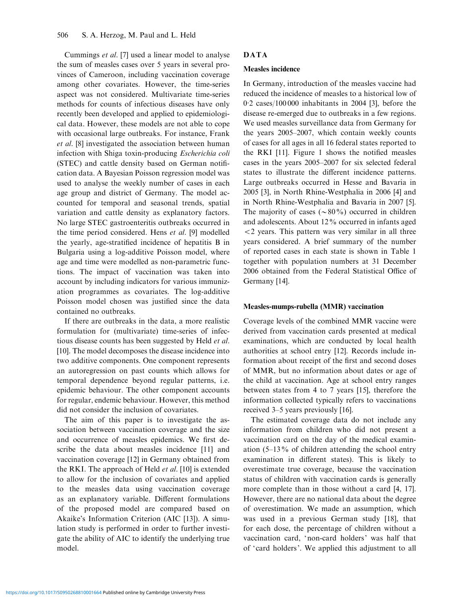Cummings et al. [7] used a linear model to analyse the sum of measles cases over 5 years in several provinces of Cameroon, including vaccination coverage among other covariates. However, the time-series aspect was not considered. Multivariate time-series methods for counts of infectious diseases have only recently been developed and applied to epidemiological data. However, these models are not able to cope with occasional large outbreaks. For instance, Frank et al. [8] investigated the association between human infection with Shiga toxin-producing Escherichia coli (STEC) and cattle density based on German notification data. A Bayesian Poisson regression model was used to analyse the weekly number of cases in each age group and district of Germany. The model accounted for temporal and seasonal trends, spatial variation and cattle density as explanatory factors. No large STEC gastroenteritis outbreaks occurred in the time period considered. Hens et al. [9] modelled the yearly, age-stratified incidence of hepatitis B in Bulgaria using a log-additive Poisson model, where age and time were modelled as non-parametric functions. The impact of vaccination was taken into account by including indicators for various immunization programmes as covariates. The log-additive Poisson model chosen was justified since the data contained no outbreaks.

If there are outbreaks in the data, a more realistic formulation for (multivariate) time-series of infectious disease counts has been suggested by Held et al. [10]. The model decomposes the disease incidence into two additive components. One component represents an autoregression on past counts which allows for temporal dependence beyond regular patterns, i.e. epidemic behaviour. The other component accounts for regular, endemic behaviour. However, this method did not consider the inclusion of covariates.

The aim of this paper is to investigate the association between vaccination coverage and the size and occurrence of measles epidemics. We first describe the data about measles incidence [11] and vaccination coverage [12] in Germany obtained from the RKI. The approach of Held et al. [10] is extended to allow for the inclusion of covariates and applied to the measles data using vaccination coverage as an explanatory variable. Different formulations of the proposed model are compared based on Akaike's Information Criterion (AIC [13]). A simulation study is performed in order to further investigate the ability of AIC to identify the underlying true model.

# DATA

#### Measles incidence

In Germany, introduction of the measles vaccine had reduced the incidence of measles to a historical low of 0. 2 cases/100 000 inhabitants in 2004 [3], before the disease re-emerged due to outbreaks in a few regions. We used measles surveillance data from Germany for the years 2005–2007, which contain weekly counts of cases for all ages in all 16 federal states reported to the RKI [11]. Figure 1 shows the notified measles cases in the years 2005–2007 for six selected federal states to illustrate the different incidence patterns. Large outbreaks occurred in Hesse and Bavaria in 2005 [3], in North Rhine-Westphalia in 2006 [4] and in North Rhine-Westphalia and Bavaria in 2007 [5]. The majority of cases  $({\sim}80\%)$  occurred in children and adolescents. About 12% occurred in infants aged <2 years. This pattern was very similar in all three years considered. A brief summary of the number of reported cases in each state is shown in Table 1 together with population numbers at 31 December 2006 obtained from the Federal Statistical Office of Germany [14].

## Measles-mumps-rubella (MMR) vaccination

Coverage levels of the combined MMR vaccine were derived from vaccination cards presented at medical examinations, which are conducted by local health authorities at school entry [12]. Records include information about receipt of the first and second doses of MMR, but no information about dates or age of the child at vaccination. Age at school entry ranges between states from 4 to 7 years [15], therefore the information collected typically refers to vaccinations received 3–5 years previously [16].

The estimated coverage data do not include any information from children who did not present a vaccination card on the day of the medical examination (5–13% of children attending the school entry examination in different states). This is likely to overestimate true coverage, because the vaccination status of children with vaccination cards is generally more complete than in those without a card [4, 17]. However, there are no national data about the degree of overestimation. We made an assumption, which was used in a previous German study [18], that for each dose, the percentage of children without a vaccination card, 'non-card holders' was half that of 'card holders'. We applied this adjustment to all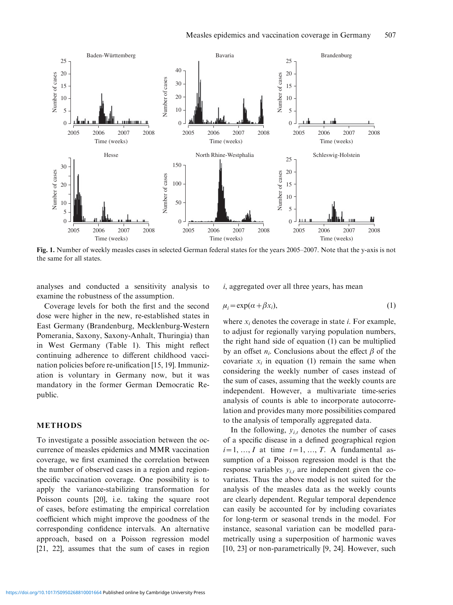

Fig. 1. Number of weekly measles cases in selected German federal states for the years 2005–2007. Note that the y-axis is not the same for all states.

analyses and conducted a sensitivity analysis to examine the robustness of the assumption.

Coverage levels for both the first and the second dose were higher in the new, re-established states in East Germany (Brandenburg, Mecklenburg-Western Pomerania, Saxony, Saxony-Anhalt, Thuringia) than in West Germany (Table 1). This might reflect continuing adherence to different childhood vaccination policies before re-unification [15, 19]. Immunization is voluntary in Germany now, but it was mandatory in the former German Democratic Republic.

#### METHODS

To investigate a possible association between the occurrence of measles epidemics and MMR vaccination coverage, we first examined the correlation between the number of observed cases in a region and regionspecific vaccination coverage. One possibility is to apply the variance-stabilizing transformation for Poisson counts [20], i.e. taking the square root of cases, before estimating the empirical correlation coefficient which might improve the goodness of the corresponding confidence intervals. An alternative approach, based on a Poisson regression model [21, 22], assumes that the sum of cases in region

i, aggregated over all three years, has mean

$$
\mu_i = \exp(\alpha + \beta x_i),\tag{1}
$$

where  $x_i$  denotes the coverage in state *i*. For example, to adjust for regionally varying population numbers, the right hand side of equation (1) can be multiplied by an offset  $n_i$ . Conclusions about the effect  $\beta$  of the covariate  $x_i$  in equation (1) remain the same when considering the weekly number of cases instead of the sum of cases, assuming that the weekly counts are independent. However, a multivariate time-series analysis of counts is able to incorporate autocorrelation and provides many more possibilities compared to the analysis of temporally aggregated data.

In the following,  $y_{i,t}$  denotes the number of cases of a specific disease in a defined geographical region  $i=1, ..., I$  at time  $t=1, ..., T$ . A fundamental assumption of a Poisson regression model is that the response variables  $y_{i,t}$  are independent given the covariates. Thus the above model is not suited for the analysis of the measles data as the weekly counts are clearly dependent. Regular temporal dependence can easily be accounted for by including covariates for long-term or seasonal trends in the model. For instance, seasonal variation can be modelled parametrically using a superposition of harmonic waves [10, 23] or non-parametrically [9, 24]. However, such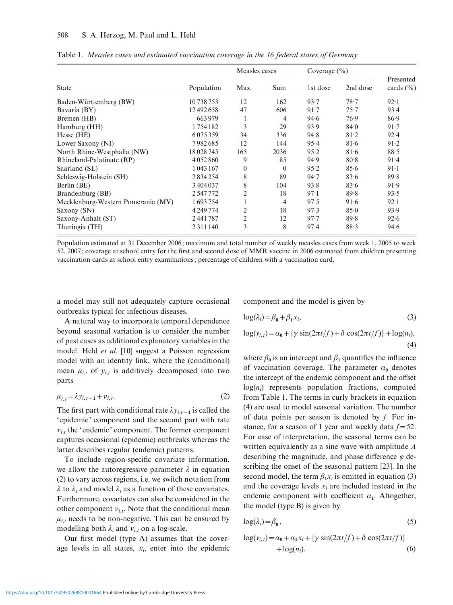|                                    |               | Measles cases  |          | Coverage $(\% )$ |          |                            |
|------------------------------------|---------------|----------------|----------|------------------|----------|----------------------------|
| <b>State</b>                       | Population    | Max.           | Sum      | 1st dose         | 2nd dose | Presented<br>cards $(\% )$ |
| Baden-Württemberg (BW)             | 10 738 753    | 12             | 162      | 93.7             | 78.7     | 92.1                       |
| Bavaria (BY)                       | 12492658      | 47             | 606      | 91.7             | 75.7     | 93.4                       |
| Bremen (HB)                        | 663979        | 1              | 4        | 94.6             | 76.9     | 86.9                       |
| Hamburg (HH)                       | 1754182       | 3              | 29       | 93.9             | 84.0     | 91.7                       |
| Hesse (HE)                         | 6075359       | 34             | 336      | 94.8             | 81.2     | 92.4                       |
| Lower Saxony (NI)                  | 7982685       | 12             | 144      | 95.4             | 81.6     | 91.2                       |
| North Rhine-Westphalia (NW)        | 18028745      | 165            | 2036     | 95.2             | 81.6     | 88.5                       |
| Rhineland-Palatinate (RP)          | 4 0 5 2 8 6 0 | 9              | 85       | 94.9             | 80.8     | 91.4                       |
| Saarland (SL)                      | 1043167       | $\mathbf{0}$   | $\theta$ | 95.2             | 85.6     | $91-1$                     |
| Schleswig-Holstein (SH)            | 2834254       | 8              | 89       | 94.7             | 83.6     | 89.8                       |
| Berlin (BE)                        | 3404037       | 8              | 104      | 93.8             | 83.6     | 91.9                       |
| Brandenburg (BB)                   | 2547772       | $\overline{c}$ | 18       | 97.1             | 89.8     | 93.5                       |
| Mecklenburg-Western Pomerania (MV) | 1693754       |                | 4        | 97.5             | 91.6     | 92.1                       |
| Saxony (SN)                        | 4 2 4 9 7 7 4 | 2              | 18       | 97.3             | 85.0     | 93.9                       |
| Saxony-Anhalt (ST)                 | 2441787       | $\overline{c}$ | 12       | 97.7             | 89.8     | 92.6                       |
| Thuringia (TH)                     | 2 3 1 1 1 4 0 | 3              | 8        | 97.4             | 88.3     | 94.6                       |

Table 1. Measles cases and estimated vaccination coverage in the 16 federal states of Germany

Population estimated at 31 December 2006; maximum and total number of weekly measles cases from week 1, 2005 to week 52, 2007; coverage at school entry for the first and second dose of MMR vaccine in 2006 estimated from children presenting vaccination cards at school entry examinations; percentage of children with a vaccination card.

a model may still not adequately capture occasional outbreaks typical for infectious diseases.

A natural way to incorporate temporal dependence beyond seasonal variation is to consider the number of past cases as additional explanatory variables in the model. Held et al. [10] suggest a Poisson regression model with an identity link, where the (conditional) mean  $\mu_{i,t}$  of  $y_{i,t}$  is additively decomposed into two parts

$$
\mu_{i,t} = \lambda y_{i,t-1} + \nu_{i,t}.\tag{2}
$$

The first part with conditional rate  $\lambda y_{i,t-1}$  is called the 'epidemic' component and the second part with rate  $v_{i,t}$  the 'endemic' component. The former component captures occasional (epidemic) outbreaks whereas the latter describes regular (endemic) patterns.

To include region-specific covariate information, we allow the autoregressive parameter  $\lambda$  in equation (2) to vary across regions, i.e. we switch notation from  $\lambda$  to  $\lambda_i$  and model  $\lambda_i$  as a function of these covariates. Furthermore, covariates can also be considered in the other component  $v_{i,t}$ . Note that the conditional mean  $\mu_{i,t}$  needs to be non-negative. This can be ensured by modelling both  $\lambda_i$  and  $\nu_{i,t}$  on a log-scale.

Our first model (type A) assumes that the coverage levels in all states,  $x_i$ , enter into the epidemic component and the model is given by

$$
\log(\lambda_i) = \beta_0 + \beta_1 x_i,\tag{3}
$$

$$
\log(v_{i,t}) = \alpha_0 + \{ \gamma \sin(2\pi t/f) + \delta \cos(2\pi t/f) \} + \log(n_i),
$$
\n(4)

where  $\beta_0$  is an intercept and  $\beta_1$  quantifies the influence of vaccination coverage. The parameter  $\alpha_0$  denotes the intercept of the endemic component and the offset  $log(n_i)$  represents population fractions, computed from Table 1. The terms in curly brackets in equation (4) are used to model seasonal variation. The number of data points per season is denoted by f. For instance, for a season of 1 year and weekly data  $f=52$ . For ease of interpretation, the seasonal terms can be written equivalently as a sine wave with amplitude A describing the magnitude, and phase difference  $\varphi$  describing the onset of the seasonal pattern [23]. In the second model, the term  $\beta_1 x_i$  is omitted in equation (3) and the coverage levels  $x_i$  are included instead in the endemic component with coefficient  $\alpha_1$ . Altogether, the model (type B) is given by

$$
\log(\lambda_i) = \beta_0,\tag{5}
$$

$$
\log(v_{i,t}) = \alpha_0 + \alpha_1 x_i + \{\gamma \sin(2\pi t/f) + \delta \cos(2\pi t/f)\}\
$$
  
+ 
$$
\log(n_i).
$$
 (6)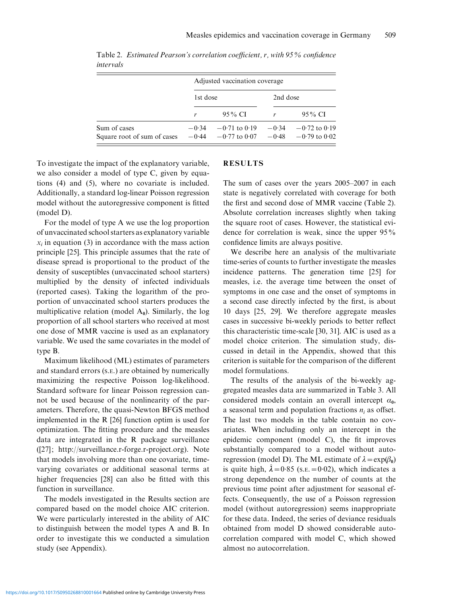|                                             | Adjusted vaccination coverage |                                        |                    |                                        |  |  |  |
|---------------------------------------------|-------------------------------|----------------------------------------|--------------------|----------------------------------------|--|--|--|
|                                             | 1st dose                      |                                        | 2nd dose           |                                        |  |  |  |
|                                             |                               | 95 % CI                                |                    | 95 % CI                                |  |  |  |
| Sum of cases<br>Square root of sum of cases | $-0.34$<br>$-0.44$            | $-0.71$ to $0.19$<br>$-0.77$ to $0.07$ | $-0.34$<br>$-0.48$ | $-0.72$ to $0.19$<br>$-0.79$ to $0.02$ |  |  |  |

Table 2. Estimated Pearson's correlation coefficient, r, with 95% confidence intervals

To investigate the impact of the explanatory variable, we also consider a model of type C, given by equations (4) and (5), where no covariate is included. Additionally, a standard log-linear Poisson regression model without the autoregressive component is fitted (model D).

For the model of type A we use the log proportion of unvaccinated school starters as explanatory variable  $x_i$  in equation (3) in accordance with the mass action principle [25]. This principle assumes that the rate of disease spread is proportional to the product of the density of susceptibles (unvaccinated school starters) multiplied by the density of infected individuals (reported cases). Taking the logarithm of the proportion of unvaccinated school starters produces the multiplicative relation (model  $A_0$ ). Similarly, the log proportion of all school starters who received at most one dose of MMR vaccine is used as an explanatory variable. We used the same covariates in the model of type B.

Maximum likelihood (ML) estimates of parameters and standard errors (S.E.) are obtained by numerically maximizing the respective Poisson log-likelihood. Standard software for linear Poisson regression cannot be used because of the nonlinearity of the parameters. Therefore, the quasi-Newton BFGS method implemented in the R [26] function optim is used for optimization. The fitting procedure and the measles data are integrated in the R package surveillance ([27]; http://surveillance.r-forge.r-project.org). Note that models involving more than one covariate, timevarying covariates or additional seasonal terms at higher frequencies [28] can also be fitted with this function in surveillance.

The models investigated in the Results section are compared based on the model choice AIC criterion. We were particularly interested in the ability of AIC to distinguish between the model types A and B. In order to investigate this we conducted a simulation study (see Appendix).

## RESULTS

The sum of cases over the years 2005–2007 in each state is negatively correlated with coverage for both the first and second dose of MMR vaccine (Table 2). Absolute correlation increases slightly when taking the square root of cases. However, the statistical evidence for correlation is weak, since the upper 95% confidence limits are always positive.

We describe here an analysis of the multivariate time-series of counts to further investigate the measles incidence patterns. The generation time [25] for measles, i.e. the average time between the onset of symptoms in one case and the onset of symptoms in a second case directly infected by the first, is about 10 days [25, 29]. We therefore aggregate measles cases in successive bi-weekly periods to better reflect this characteristic time-scale [30, 31]. AIC is used as a model choice criterion. The simulation study, discussed in detail in the Appendix, showed that this criterion is suitable for the comparison of the different model formulations.

The results of the analysis of the bi-weekly aggregated measles data are summarized in Table 3. All considered models contain an overall intercept  $\alpha_0$ , a seasonal term and population fractions  $n_i$  as offset. The last two models in the table contain no covariates. When including only an intercept in the epidemic component (model C), the fit improves substantially compared to a model without autoregression (model D). The ML estimate of  $\lambda = \exp(\beta_0)$ is quite high,  $\hat{\lambda} = 0.85$  (s.e.  $= 0.02$ ), which indicates a strong dependence on the number of counts at the previous time point after adjustment for seasonal effects. Consequently, the use of a Poisson regression model (without autoregression) seems inappropriate for these data. Indeed, the series of deviance residuals obtained from model D showed considerable autocorrelation compared with model C, which showed almost no autocorrelation.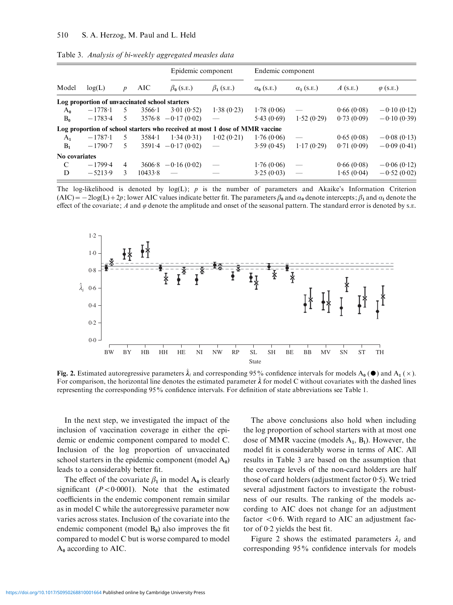|                |                                                |                |                | Epidemic component                                                           |                                       | Endemic component |                                 |            |                  |  |
|----------------|------------------------------------------------|----------------|----------------|------------------------------------------------------------------------------|---------------------------------------|-------------------|---------------------------------|------------|------------------|--|
| Model          | log(L)                                         | p              | AIC            | $\beta_0$ (S.E.)                                                             | $\beta_1$ (s.e.)<br>$\alpha_0$ (S.E.) |                   | $\alpha_1$ (S.E.)               | $A$ (s.e.) | $\varphi$ (S.E.) |  |
|                | Log proportion of unvaccinated school starters |                |                |                                                                              |                                       |                   |                                 |            |                  |  |
| $A_0$          | $-1778.1$                                      | 5              | $3566 \cdot 1$ | 3.01(0.52)                                                                   | 1.38(0.23)                            | 1.78(0.06)        |                                 | 0.66(0.08) | $-0.10(0.12)$    |  |
| $B_0$          | $-1783-4$                                      | .5             |                | $3576.8 - 0.17(0.02)$                                                        |                                       | 5.43(0.69)        | 1.52(0.29)                      | 0.73(0.09) | $-0.10(0.39)$    |  |
|                |                                                |                |                | Log proportion of school starters who received at most 1 dose of MMR vaccine |                                       |                   |                                 |            |                  |  |
| $A_1$          | $-1787-1$                                      | 5              | $3584 \cdot 1$ | 1.34(0.31)                                                                   | 1.02(0.21)                            | 1.76(0.06)        |                                 | 0.65(0.08) | $-0.08(0.13)$    |  |
| B <sub>1</sub> | $-1790-7$                                      | 5              |                | $3591.4 - 0.17(0.02)$                                                        |                                       | 3.59(0.45)        | 1.17(0.29)                      | 0.71(0.09) | $-0.09(0.41)$    |  |
| No covariates  |                                                |                |                |                                                                              |                                       |                   |                                 |            |                  |  |
| C              | $-1799.4$                                      | $\overline{4}$ |                | $3606.8 - 0.16(0.02)$                                                        |                                       | 1.76(0.06)        |                                 | 0.66(0.08) | $-0.06(0.12)$    |  |
| D              | $-5213.9$                                      | 3              | 10433.8        |                                                                              |                                       | 3.25(0.03)        | $\overbrace{\qquad \qquad }^{}$ | 1.65(0.04) | $-0.52(0.02)$    |  |

Table 3. Analysis of bi-weekly aggregated measles data

The log-likelihood is denoted by  $log(L)$ ; p is the number of parameters and Akaike's Information Criterion  $(AIC) = -2log(L) + 2p$ ; lower AIC values indicate better fit. The parameters  $\beta_0$  and  $\alpha_0$  denote intercepts;  $\beta_1$  and  $\alpha_1$  denote the effect of the covariate; A and  $\varphi$  denote the amplitude and onset of the seasonal pattern. The standard error is denoted by s.e.



Fig. 2. Estimated autoregressive parameters  $\hat{\lambda}_i$  and corresponding 95% confidence intervals for models  $A_0$  ( $\bullet$ ) and  $A_1$  ( $\times$ ). For comparison, the horizontal line denotes the estimated parameter  $\hat{\lambda}$  for model C without covariates with the dashed lines representing the corresponding 95% confidence intervals. For definition of state abbreviations see Table 1.

In the next step, we investigated the impact of the inclusion of vaccination coverage in either the epidemic or endemic component compared to model C. Inclusion of the log proportion of unvaccinated school starters in the epidemic component (model  $A_0$ ) leads to a considerably better fit.

The effect of the covariate  $\beta_1$  in model A<sub>0</sub> is clearly significant  $(P < 0.0001)$ . Note that the estimated coefficients in the endemic component remain similar as in model C while the autoregressive parameter now varies across states. Inclusion of the covariate into the endemic component (model  $B_0$ ) also improves the fit compared to model C but is worse compared to model  $A_0$  according to AIC.

The above conclusions also hold when including the log proportion of school starters with at most one dose of MMR vaccine (models  $A_1$ ,  $B_1$ ). However, the model fit is considerably worse in terms of AIC. All results in Table 3 are based on the assumption that the coverage levels of the non-card holders are half those of card holders (adjustment factor 0. 5). We tried several adjustment factors to investigate the robustness of our results. The ranking of the models according to AIC does not change for an adjustment factor <0.6. With regard to AIC an adjustment factor of 0. 2 yields the best fit.

Figure 2 shows the estimated parameters  $\lambda_i$  and corresponding 95% confidence intervals for models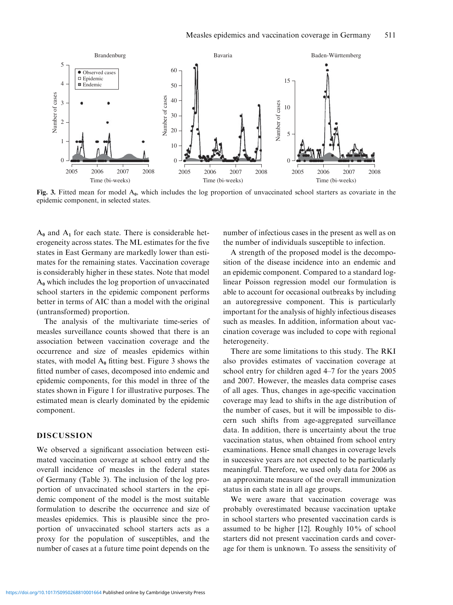

Fig. 3. Fitted mean for model  $A_0$ , which includes the log proportion of unvaccinated school starters as covariate in the epidemic component, in selected states.

 $A_0$  and  $A_1$  for each state. There is considerable heterogeneity across states. The ML estimates for the five states in East Germany are markedly lower than estimates for the remaining states. Vaccination coverage is considerably higher in these states. Note that model  $A_0$  which includes the log proportion of unvaccinated school starters in the epidemic component performs better in terms of AIC than a model with the original (untransformed) proportion.

The analysis of the multivariate time-series of measles surveillance counts showed that there is an association between vaccination coverage and the occurrence and size of measles epidemics within states, with model  $A_0$  fitting best. Figure 3 shows the fitted number of cases, decomposed into endemic and epidemic components, for this model in three of the states shown in Figure 1 for illustrative purposes. The estimated mean is clearly dominated by the epidemic component.

#### DISCUSSION

We observed a significant association between estimated vaccination coverage at school entry and the overall incidence of measles in the federal states of Germany (Table 3). The inclusion of the log proportion of unvaccinated school starters in the epidemic component of the model is the most suitable formulation to describe the occurrence and size of measles epidemics. This is plausible since the proportion of unvaccinated school starters acts as a proxy for the population of susceptibles, and the number of cases at a future time point depends on the

number of infectious cases in the present as well as on the number of individuals susceptible to infection.

A strength of the proposed model is the decomposition of the disease incidence into an endemic and an epidemic component. Compared to a standard loglinear Poisson regression model our formulation is able to account for occasional outbreaks by including an autoregressive component. This is particularly important for the analysis of highly infectious diseases such as measles. In addition, information about vaccination coverage was included to cope with regional heterogeneity.

There are some limitations to this study. The RKI also provides estimates of vaccination coverage at school entry for children aged 4–7 for the years 2005 and 2007. However, the measles data comprise cases of all ages. Thus, changes in age-specific vaccination coverage may lead to shifts in the age distribution of the number of cases, but it will be impossible to discern such shifts from age-aggregated surveillance data. In addition, there is uncertainty about the true vaccination status, when obtained from school entry examinations. Hence small changes in coverage levels in successive years are not expected to be particularly meaningful. Therefore, we used only data for 2006 as an approximate measure of the overall immunization status in each state in all age groups.

We were aware that vaccination coverage was probably overestimated because vaccination uptake in school starters who presented vaccination cards is assumed to be higher [12]. Roughly 10% of school starters did not present vaccination cards and coverage for them is unknown. To assess the sensitivity of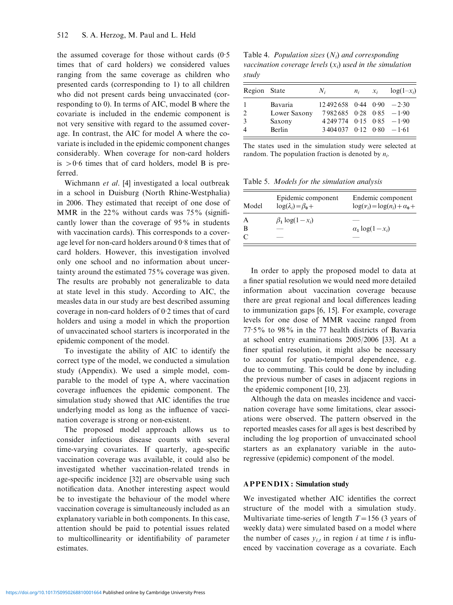the assumed coverage for those without cards (0. 5 times that of card holders) we considered values ranging from the same coverage as children who presented cards (corresponding to 1) to all children who did not present cards being unvaccinated (corresponding to 0). In terms of AIC, model B where the covariate is included in the endemic component is not very sensitive with regard to the assumed coverage. In contrast, the AIC for model A where the covariate is included in the epidemic component changes considerably. When coverage for non-card holders is  $>0.6$  times that of card holders, model B is preferred.

Wichmann et al. [4] investigated a local outbreak in a school in Duisburg (North Rhine-Westphalia) in 2006. They estimated that receipt of one dose of MMR in the  $22\%$  without cards was  $75\%$  (significantly lower than the coverage of 95% in students with vaccination cards). This corresponds to a coverage level for non-card holders around 0. 8 times that of card holders. However, this investigation involved only one school and no information about uncertainty around the estimated 75% coverage was given. The results are probably not generalizable to data at state level in this study. According to AIC, the measles data in our study are best described assuming coverage in non-card holders of 0. 2 times that of card holders and using a model in which the proportion of unvaccinated school starters is incorporated in the epidemic component of the model.

To investigate the ability of AIC to identify the correct type of the model, we conducted a simulation study (Appendix). We used a simple model, comparable to the model of type A, where vaccination coverage influences the epidemic component. The simulation study showed that AIC identifies the true underlying model as long as the influence of vaccination coverage is strong or non-existent.

The proposed model approach allows us to consider infectious disease counts with several time-varying covariates. If quarterly, age-specific vaccination coverage was available, it could also be investigated whether vaccination-related trends in age-specific incidence [32] are observable using such notification data. Another interesting aspect would be to investigate the behaviour of the model where vaccination coverage is simultaneously included as an explanatory variable in both components. In this case, attention should be paid to potential issues related to multicollinearity or identifiability of parameter estimates.

Table 4. *Population sizes*  $(N_i)$  and corresponding vaccination coverage levels  $(x_i)$  used in the simulation study

| Region State  |              | $N_i$                            | $n_i$ | $\mathcal{X}_i$ | $log(1-x_i)$ |
|---------------|--------------|----------------------------------|-------|-----------------|--------------|
|               | Bavaria      | $12\,492\,658$ 0.44 0.90 $-2.30$ |       |                 |              |
| $\mathcal{D}$ | Lower Saxony | $7982685$ 0.28 0.85 $-1.90$      |       |                 |              |
| 3             | Saxony       | $4249774$ 0.15 0.85 $-1.90$      |       |                 |              |
|               | Berlin       | $3404037$ 0.12 0.80 $-1.61$      |       |                 |              |

The states used in the simulation study were selected at random. The population fraction is denoted by  $n_i$ .

Table 5. Models for the simulation analysis

| Model | Epidemic component<br>$log(\lambda_i) = \beta_0 +$ | Endemic component<br>$\log(v_i) = \log(n_i) + \alpha_0 +$ |
|-------|----------------------------------------------------|-----------------------------------------------------------|
|       | $\beta_1 \log(1-x_i)$                              |                                                           |
| в     |                                                    | $\alpha_1 \log(1-x_i)$                                    |
|       |                                                    |                                                           |

In order to apply the proposed model to data at a finer spatial resolution we would need more detailed information about vaccination coverage because there are great regional and local differences leading to immunization gaps [6, 15]. For example, coverage levels for one dose of MMR vaccine ranged from 77. 5% to 98% in the 77 health districts of Bavaria at school entry examinations 2005/2006 [33]. At a finer spatial resolution, it might also be necessary to account for spatio-temporal dependence, e.g. due to commuting. This could be done by including the previous number of cases in adjacent regions in the epidemic component [10, 23].

Although the data on measles incidence and vaccination coverage have some limitations, clear associations were observed. The pattern observed in the reported measles cases for all ages is best described by including the log proportion of unvaccinated school starters as an explanatory variable in the autoregressive (epidemic) component of the model.

#### APPENDIX: Simulation study

We investigated whether AIC identifies the correct structure of the model with a simulation study. Multivariate time-series of length  $T=156$  (3 years of weekly data) were simulated based on a model where the number of cases  $y_{i,t}$  in region i at time t is influenced by vaccination coverage as a covariate. Each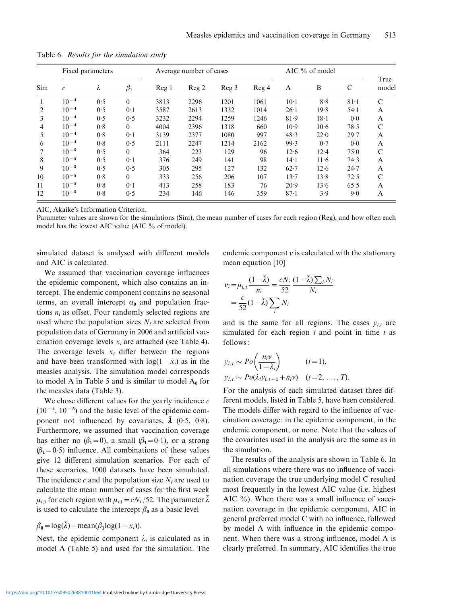| Sim | Fixed parameters  |                 |           |       | Average number of cases |       |       |          | AIC % of model |        |               |
|-----|-------------------|-----------------|-----------|-------|-------------------------|-------|-------|----------|----------------|--------|---------------|
|     | $\mathcal{C}_{0}$ | $\bar{\lambda}$ | $\beta_1$ | Reg 1 | Reg 2                   | Reg 3 | Reg 4 | A        | B              | С      | True<br>model |
|     | $10^{-4}$         | 0.5             | $\theta$  | 3813  | 2296                    | 1201  | 1061  | $10-1$   | 8.8            | $81-1$ | $\mathcal{C}$ |
| 2   | $10^{-4}$         | 0.5             | 0.1       | 3587  | 2613                    | 1332  | 1014  | 26.1     | 19.8           | 54.1   | A             |
| 3   | $10^{-4}$         | 0.5             | 0.5       | 3232  | 2294                    | 1259  | 1246  | 81.9     | $18-1$         | 0.0    | A             |
| 4   | $10^{-4}$         | 0.8             | $\theta$  | 4004  | 2396                    | 1318  | 660   | $10-9$   | $10-6$         | 78.5   | $\mathcal{C}$ |
| 5   | $10^{-4}$         | 0.8             | $0-1$     | 3139  | 2377                    | 1080  | 997   | 48.3     | 22.0           | 29.7   | A             |
| 6   | $10^{-4}$         | 0.8             | 0.5       | 2111  | 2247                    | 1214  | 2162  | 99.3     | 0.7            | 0.0    | A             |
|     | $10^{-5}$         | 0.5             | $\theta$  | 364   | 223                     | 129   | 96    | 12.6     | $12 - 4$       | 75.0   | $\mathcal{C}$ |
| 8   | $10^{-5}$         | 0.5             | 0.1       | 376   | 249                     | 141   | 98    | $14-1$   | $11-6$         | 74.3   | A             |
| 9   | $10^{-5}$         | 0.5             | 0.5       | 305   | 295                     | 127   | 132   | $62 - 7$ | 12.6           | 24.7   | A             |
| 10  | $10^{-5}$         | 0.8             | $\Omega$  | 333   | 256                     | 206   | 107   | $13 - 7$ | 13.8           | 72.5   | $\mathcal{C}$ |
| 11  | $10^{-5}$         | 0.8             | 0.1       | 413   | 258                     | 183   | 76    | 20.9     | 13.6           | 65.5   | A             |
| 12  | $10^{-5}$         | 0.8             | 0.5       | 234   | 146                     | 146   | 359   | $87-1$   | 3.9            | 9.0    | A             |

Table 6. Results for the simulation study

AIC, Akaike's Information Criterion.

Parameter values are shown for the simulations (Sim), the mean number of cases for each region (Reg), and how often each model has the lowest AIC value (AIC % of model).

simulated dataset is analysed with different models and AIC is calculated.

endemic component  $\nu$  is calculated with the stationary mean equation [10]

We assumed that vaccination coverage influences the epidemic component, which also contains an intercept. The endemic component contains no seasonal terms, an overall intercept  $\alpha_0$  and population fractions  $n_i$  as offset. Four randomly selected regions are used where the population sizes  $N_i$  are selected from population data of Germany in 2006 and artificial vaccination coverage levels  $x_i$  are attached (see Table 4). The coverage levels  $x_i$  differ between the regions and have been transformed with  $log(1 - x_i)$  as in the measles analysis. The simulation model corresponds to model A in Table 5 and is similar to model  $A_0$  for the measles data (Table 3).

We chose different values for the yearly incidence  $c$  $(10^{-4}, 10^{-5})$  and the basic level of the epidemic component not influenced by covariates,  $\bar{\lambda}$  (0.5, 0.8). Furthermore, we assumed that vaccination coverage has either no  $(\beta_1=0)$ , a small  $(\beta_1=0.1)$ , or a strong  $(\beta_1=0.5)$  influence. All combinations of these values give 12 different simulation scenarios. For each of these scenarios, 1000 datasets have been simulated. The incidence c and the population size  $N_i$  are used to calculate the mean number of cases for the first week  $\mu_{i,1}$  for each region with  $\mu_{i,1}=cN_i /52$ . The parameter  $\lambda$ is used to calculate the intercept  $\beta_0$  as a basic level

$$
\beta_0 = \log(\bar{\lambda}) - \text{mean}(\beta_1 \log(1 - x_i)).
$$

Next, the epidemic component  $\lambda_i$  is calculated as in model A (Table 5) and used for the simulation. The

$$
v_i = \mu_{i,t} \frac{(1-\bar{\lambda})}{n_i} = \frac{cN_i}{52} \frac{(1-\bar{\lambda})\sum_i N_i}{N_i}
$$

$$
= \frac{c}{52} (1-\bar{\lambda})\sum_i N_i
$$

and is the same for all regions. The cases  $y_{i,t}$  are simulated for each region  $i$  and point in time  $t$  as follows:

$$
y_{i,t} \sim Po\left(\frac{n_i \nu}{1 - \lambda_i}\right) \qquad (t = 1),
$$
  

$$
y_{i,t} \sim Po(\lambda_i y_{i,t-1} + n_i \nu) \quad (t = 2, \dots, T).
$$

For the analysis of each simulated dataset three different models, listed in Table 5, have been considered. The models differ with regard to the influence of vaccination coverage: in the epidemic component, in the endemic component, or none. Note that the values of the covariates used in the analysis are the same as in the simulation.

The results of the analysis are shown in Table 6. In all simulations where there was no influence of vaccination coverage the true underlying model C resulted most frequently in the lowest AIC value (i.e. highest AIC %). When there was a small influence of vaccination coverage in the epidemic component, AIC in general preferred model C with no influence, followed by model A with influence in the epidemic component. When there was a strong influence, model A is clearly preferred. In summary, AIC identifies the true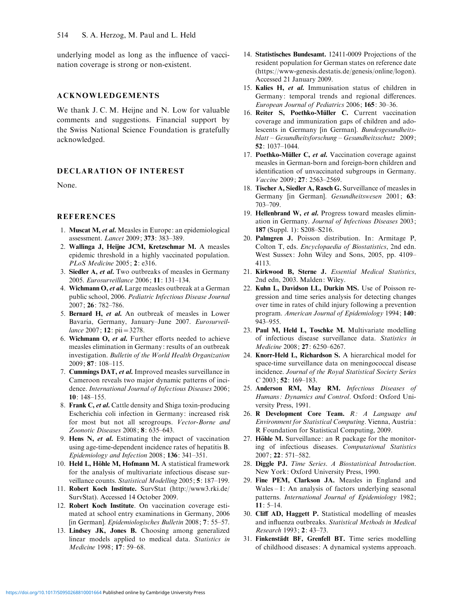underlying model as long as the influence of vaccination coverage is strong or non-existent.

# ACKNOWLEDGEMENTS

We thank J. C. M. Heijne and N. Low for valuable comments and suggestions. Financial support by the Swiss National Science Foundation is gratefully acknowledged.

# DECLARATION OF INTEREST

None.

#### **REFERENCES**

- 1. Muscat M, et al. Measles in Europe: an epidemiological assessment. Lancet 2009; 373: 383–389.
- 2. Wallinga J, Heijne JCM, Kretzschmar M. A measles epidemic threshold in a highly vaccinated population. PLoS Medicine 2005; 2: e316.
- 3. Siedler A, et al. Two outbreaks of measles in Germany 2005. Eurosurveillance 2006; 11: 131–134.
- 4. Wichmann O, et al. Large measles outbreak at a German public school, 2006. Pediatric Infectious Disease Journal 2007; 26: 782–786.
- 5. Bernard H, et al. An outbreak of measles in Lower Bavaria, Germany, January–June 2007. Eurosurveillance 2007; **12**: pii = 3278.
- 6. Wichmann O, et al. Further efforts needed to achieve measles elimination in Germany: results of an outbreak investigation. Bulletin of the World Health Organization 2009; 87: 108–115.
- 7. Cummings DAT, et al. Improved measles surveillance in Cameroon reveals two major dynamic patterns of incidence. International Journal of Infectious Diseases 2006; 10: 148–155.
- 8. Frank C, et al. Cattle density and Shiga toxin-producing Escherichia coli infection in Germany: increased risk for most but not all serogroups. Vector-Borne and Zoonotic Diseases 2008; 8: 635–643.
- 9. Hens N, et al. Estimating the impact of vaccination using age-time-dependent incidence rates of hepatitis B. Epidemiology and Infection 2008; 136: 341–351.
- 10. Held L, Höhle M, Hofmann M. A statistical framework for the analysis of multivariate infectious disease surveillance counts. Statistical Modelling 2005; 5: 187-199.
- 11. Robert Koch Institute. SurvStat (http://www3.rki.de/ SurvStat). Accessed 14 October 2009.
- 12. Robert Koch Institute. On vaccination coverage estimated at school entry examinations in Germany, 2006 [in German]. Epidemiologisches Bulletin 2008; 7: 55–57.
- 13. Lindsey JK, Jones B. Choosing among generalized linear models applied to medical data. Statistics in Medicine 1998; 17: 59–68.
- 14. Statistisches Bundesamt. 12411-0009 Projections of the resident population for German states on reference date (https://www-genesis.destatis.de/genesis/online/logon). Accessed 21 January 2009.
- 15. Kalies H, et al. Immunisation status of children in Germany: temporal trends and regional differences. European Journal of Pediatrics 2006; 165: 30–36.
- 16. Reiter S. Poethko-Müller C. Current vaccination coverage and immunization gaps of children and adolescents in Germany [in German]. Bundesgesundheitsblatt – Gesundheitsforschung – Gesundheitsschutz 2009; 52: 1037–1044.
- 17. Poethko-Müller C, et al. Vaccination coverage against measles in German-born and foreign-born children and identification of unvaccinated subgroups in Germany. Vaccine 2009; 27: 2563–2569.
- 18. Tischer A, Siedler A, Rasch G. Surveillance of measles in Germany [in German]. Gesundheitswesen 2001; 63: 703–709.
- 19. Hellenbrand W, et al. Progress toward measles elimination in Germany. Journal of Infectious Diseases 2003; 187 (Suppl. 1): S208–S216.
- 20. Palmgren J. Poisson distribution. In: Armitage P, Colton T, eds. Encyclopaedia of Biostatistics, 2nd edn. West Sussex: John Wiley and Sons, 2005, pp. 4109– 4113.
- 21. Kirkwood B, Sterne J. Essential Medical Statistics, 2nd edn, 2003. Malden: Wiley.
- 22. Kuhn L, Davidson LL, Durkin MS. Use of Poisson regression and time series analysis for detecting changes over time in rates of child injury following a prevention program. American Journal of Epidemiology 1994; 140: 943–955.
- 23. Paul M, Held L, Toschke M. Multivariate modelling of infectious disease surveillance data. Statistics in Medicine 2008; 27: 6250–6267.
- 24. Knorr-Held L, Richardson S. A hierarchical model for space-time surveillance data on meningococcal disease incidence. Journal of the Royal Statistical Society Series  $C$  2003; 52: 169-183.
- 25. Anderson RM, May RM. Infectious Diseases of Humans: Dynamics and Control. Oxford: Oxford University Press, 1991.
- 26. R Development Core Team.  $R$ : A Language and Environment for Statistical Computing. Vienna, Austria: R Foundation for Statistical Computing, 2009.
- 27. Höhle M. Surveillance: an R package for the monitoring of infectious diseases. Computational Statistics 2007; 22: 571–582.
- 28. Diggle PJ. Time Series. A Biostatistical Introduction. New York: Oxford University Press, 1990.
- 29. Fine PEM, Clarkson JA. Measles in England and Wales – I: An analysis of factors underlying seasonal patterns. International Journal of Epidemiology 1982; 11: 5–14.
- 30. Cliff AD, Haggett P. Statistical modelling of measles and influenza outbreaks. Statistical Methods in Medical Research 1993; 2: 43–73.
- 31. Finkenstädt BF, Grenfell BT. Time series modelling of childhood diseases: A dynamical systems approach.